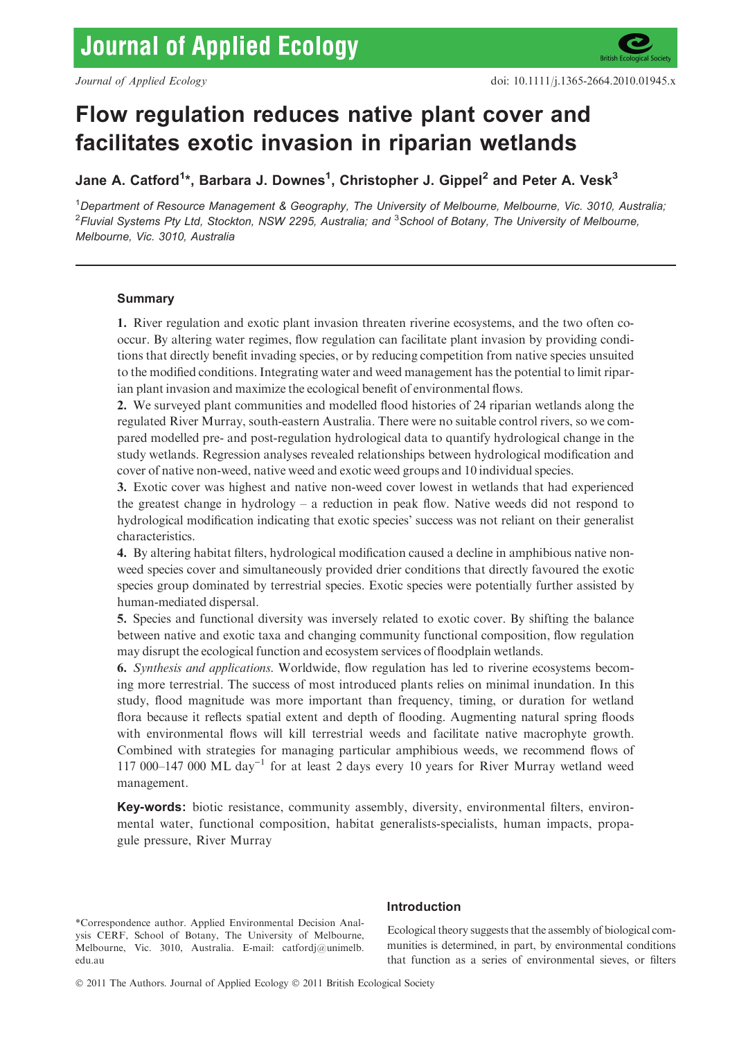# Flow regulation reduces native plant cover and facilitates exotic invasion in riparian wetlands

Jane A. Catford<sup>1</sup>\*, Barbara J. Downes<sup>1</sup>, Christopher J. Gippel<sup>2</sup> and Peter A. Vesk<sup>3</sup>

<sup>1</sup>Department of Resource Management & Geography, The University of Melbourne, Melbourne, Vic. 3010, Australia;  $^2$ Fluvial Systems Pty Ltd, Stockton, NSW 2295, Australia; and  $^3$ School of Botany, The University of Melbourne, Melbourne, Vic. 3010, Australia

# Summary

1. River regulation and exotic plant invasion threaten riverine ecosystems, and the two often cooccur. By altering water regimes, flow regulation can facilitate plant invasion by providing conditions that directly benefit invading species, or by reducing competition from native species unsuited to the modified conditions. Integrating water and weed management has the potential to limit riparian plant invasion and maximize the ecological benefit of environmental flows.

2. We surveyed plant communities and modelled flood histories of 24 riparian wetlands along the regulated River Murray, south-eastern Australia. There were no suitable control rivers, so we compared modelled pre- and post-regulation hydrological data to quantify hydrological change in the study wetlands. Regression analyses revealed relationships between hydrological modification and cover of native non-weed, native weed and exotic weed groups and 10 individual species.

3. Exotic cover was highest and native non-weed cover lowest in wetlands that had experienced the greatest change in hydrology – a reduction in peak flow. Native weeds did not respond to hydrological modification indicating that exotic species' success was not reliant on their generalist characteristics.

4. By altering habitat filters, hydrological modification caused a decline in amphibious native nonweed species cover and simultaneously provided drier conditions that directly favoured the exotic species group dominated by terrestrial species. Exotic species were potentially further assisted by human-mediated dispersal.

5. Species and functional diversity was inversely related to exotic cover. By shifting the balance between native and exotic taxa and changing community functional composition, flow regulation may disrupt the ecological function and ecosystem services of floodplain wetlands.

6. Synthesis and applications. Worldwide, flow regulation has led to riverine ecosystems becoming more terrestrial. The success of most introduced plants relies on minimal inundation. In this study, flood magnitude was more important than frequency, timing, or duration for wetland flora because it reflects spatial extent and depth of flooding. Augmenting natural spring floods with environmental flows will kill terrestrial weeds and facilitate native macrophyte growth. Combined with strategies for managing particular amphibious weeds, we recommend flows of 117 000–147 000 ML day<sup>-1</sup> for at least 2 days every 10 years for River Murray wetland weed management.

Key-words: biotic resistance, community assembly, diversity, environmental filters, environmental water, functional composition, habitat generalists-specialists, human impacts, propagule pressure, River Murray

\*Correspondence author. Applied Environmental Decision Analysis CERF, School of Botany, The University of Melbourne, Melbourne, Vic. 3010, Australia. E-mail: catfordj@unimelb. edu.au

## Introduction

Ecological theory suggests that the assembly of biological communities is determined, in part, by environmental conditions that function as a series of environmental sieves, or filters

© 2011 The Authors. Journal of Applied Ecology © 2011 British Ecological Society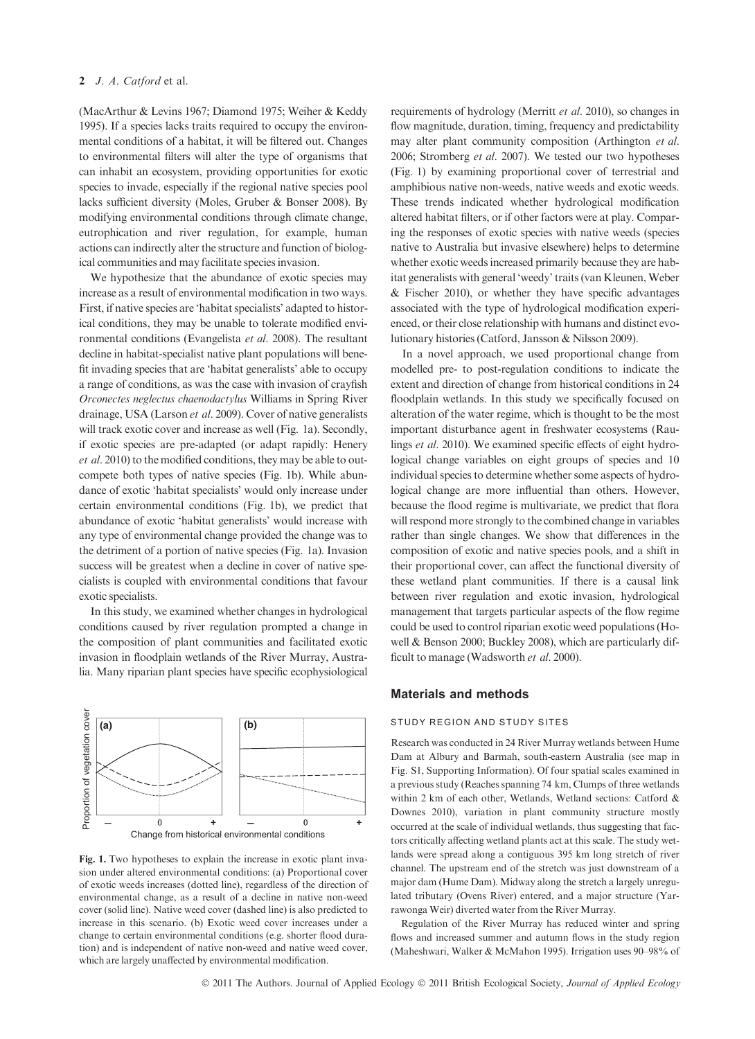## 2 J. A. Catford et al.

(MacArthur & Levins 1967; Diamond 1975; Weiher & Keddy 1995). If a species lacks traits required to occupy the environmental conditions of a habitat, it will be filtered out. Changes to environmental filters will alter the type of organisms that can inhabit an ecosystem, providing opportunities for exotic species to invade, especially if the regional native species pool lacks sufficient diversity (Moles, Gruber & Bonser 2008). By modifying environmental conditions through climate change, eutrophication and river regulation, for example, human actions can indirectly alter the structure and function of biological communities and may facilitate species invasion.

We hypothesize that the abundance of exotic species may increase as a result of environmental modification in two ways. First, if native species are 'habitat specialists' adapted to historical conditions, they may be unable to tolerate modified environmental conditions (Evangelista et al. 2008). The resultant decline in habitat-specialist native plant populations will benefit invading species that are 'habitat generalists' able to occupy a range of conditions, as was the case with invasion of crayfish Orconectes neglectus chaenodactylus Williams in Spring River drainage, USA (Larson et al. 2009). Cover of native generalists will track exotic cover and increase as well (Fig. 1a). Secondly, if exotic species are pre-adapted (or adapt rapidly: Henery et al. 2010) to the modified conditions, they may be able to outcompete both types of native species (Fig. 1b). While abundance of exotic 'habitat specialists' would only increase under certain environmental conditions (Fig. 1b), we predict that abundance of exotic 'habitat generalists' would increase with any type of environmental change provided the change was to the detriment of a portion of native species (Fig. 1a). Invasion success will be greatest when a decline in cover of native specialists is coupled with environmental conditions that favour exotic specialists.

In this study, we examined whether changes in hydrological conditions caused by river regulation prompted a change in the composition of plant communities and facilitated exotic invasion in floodplain wetlands of the River Murray, Australia. Many riparian plant species have specific ecophysiological



Fig. 1. Two hypotheses to explain the increase in exotic plant invasion under altered environmental conditions: (a) Proportional cover of exotic weeds increases (dotted line), regardless of the direction of environmental change, as a result of a decline in native non-weed cover (solid line). Native weed cover (dashed line) is also predicted to increase in this scenario. (b) Exotic weed cover increases under a change to certain environmental conditions (e.g. shorter flood duration) and is independent of native non-weed and native weed cover, which are largely unaffected by environmental modification.

requirements of hydrology (Merritt et al. 2010), so changes in flow magnitude, duration, timing, frequency and predictability may alter plant community composition (Arthington et al. 2006; Stromberg et al. 2007). We tested our two hypotheses (Fig. 1) by examining proportional cover of terrestrial and amphibious native non-weeds, native weeds and exotic weeds. These trends indicated whether hydrological modification altered habitat filters, or if other factors were at play. Comparing the responses of exotic species with native weeds (species native to Australia but invasive elsewhere) helps to determine whether exotic weeds increased primarily because they are habitat generalists with general 'weedy' traits (van Kleunen, Weber & Fischer 2010), or whether they have specific advantages associated with the type of hydrological modification experienced, or their close relationship with humans and distinct evolutionary histories (Catford, Jansson & Nilsson 2009).

In a novel approach, we used proportional change from modelled pre- to post-regulation conditions to indicate the extent and direction of change from historical conditions in 24 floodplain wetlands. In this study we specifically focused on alteration of the water regime, which is thought to be the most important disturbance agent in freshwater ecosystems (Raulings et al. 2010). We examined specific effects of eight hydrological change variables on eight groups of species and 10 individual species to determine whether some aspects of hydrological change are more influential than others. However, because the flood regime is multivariate, we predict that flora will respond more strongly to the combined change in variables rather than single changes. We show that differences in the composition of exotic and native species pools, and a shift in their proportional cover, can affect the functional diversity of these wetland plant communities. If there is a causal link between river regulation and exotic invasion, hydrological management that targets particular aspects of the flow regime could be used to control riparian exotic weed populations (Howell & Benson 2000; Buckley 2008), which are particularly difficult to manage (Wadsworth et al. 2000).

#### Materials and methods

#### STUDY REGION AND STUDY SITES

Research was conducted in 24 River Murray wetlands between Hume Dam at Albury and Barmah, south-eastern Australia (see map in Fig. S1, Supporting Information). Of four spatial scales examined in a previous study (Reaches spanning 74 km, Clumps of three wetlands within 2 km of each other, Wetlands, Wetland sections: Catford & Downes 2010), variation in plant community structure mostly occurred at the scale of individual wetlands, thus suggesting that factors critically affecting wetland plants act at this scale. The study wetlands were spread along a contiguous 395 km long stretch of river channel. The upstream end of the stretch was just downstream of a major dam (Hume Dam). Midway along the stretch a largely unregulated tributary (Ovens River) entered, and a major structure (Yarrawonga Weir) diverted water from the River Murray.

Regulation of the River Murray has reduced winter and spring flows and increased summer and autumn flows in the study region (Maheshwari, Walker & McMahon 1995). Irrigation uses 90–98% of

© 2011 The Authors. Journal of Applied Ecology © 2011 British Ecological Society, Journal of Applied Ecology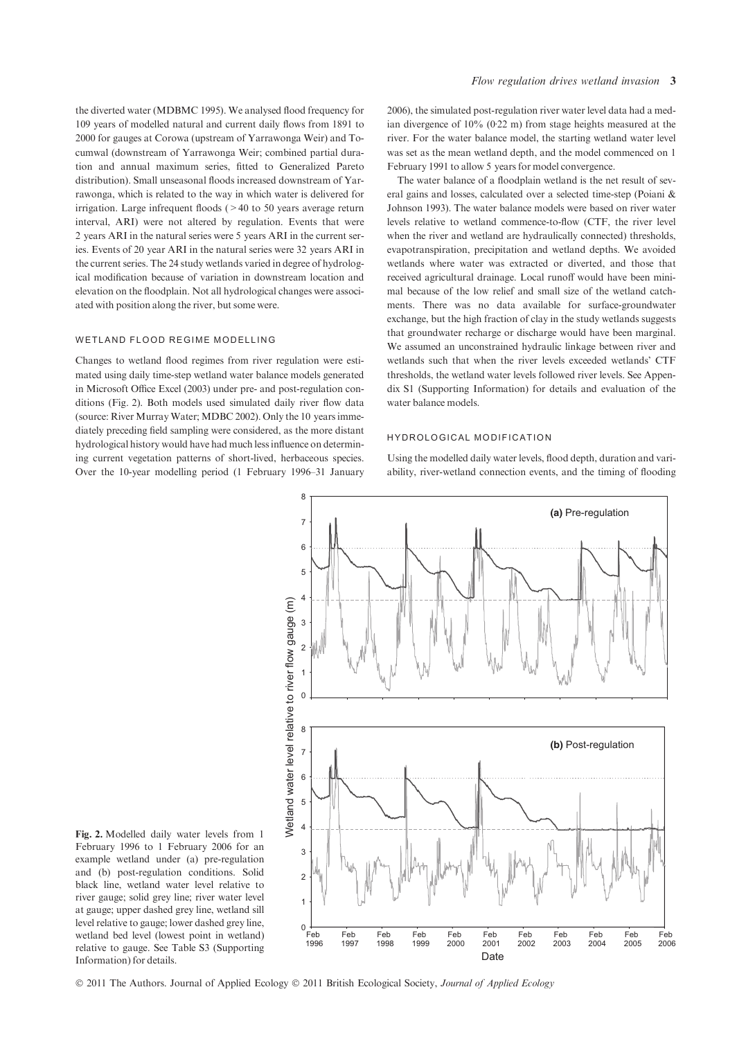the diverted water (MDBMC 1995). We analysed flood frequency for 109 years of modelled natural and current daily flows from 1891 to 2000 for gauges at Corowa (upstream of Yarrawonga Weir) and Tocumwal (downstream of Yarrawonga Weir; combined partial duration and annual maximum series, fitted to Generalized Pareto distribution). Small unseasonal floods increased downstream of Yarrawonga, which is related to the way in which water is delivered for irrigation. Large infrequent floods (>40 to 50 years average return interval, ARI) were not altered by regulation. Events that were 2 years ARI in the natural series were 5 years ARI in the current series. Events of 20 year ARI in the natural series were 32 years ARI in the current series. The 24 study wetlands varied in degree of hydrological modification because of variation in downstream location and elevation on the floodplain. Not all hydrological changes were associated with position along the river, but some were.

#### WETLAND FLOOD REGIME MODELLING

Changes to wetland flood regimes from river regulation were estimated using daily time-step wetland water balance models generated in Microsoft Office Excel (2003) under pre- and post-regulation conditions (Fig. 2). Both models used simulated daily river flow data (source: River Murray Water; MDBC 2002). Only the 10 years immediately preceding field sampling were considered, as the more distant hydrological history would have had much less influence on determining current vegetation patterns of short-lived, herbaceous species. Over the 10-year modelling period (1 February 1996–31 January

2006), the simulated post-regulation river water level data had a median divergence of  $10\%$  (0.22 m) from stage heights measured at the river. For the water balance model, the starting wetland water level was set as the mean wetland depth, and the model commenced on 1 February 1991 to allow 5 years for model convergence.

The water balance of a floodplain wetland is the net result of several gains and losses, calculated over a selected time-step (Poiani & Johnson 1993). The water balance models were based on river water levels relative to wetland commence-to-flow (CTF, the river level when the river and wetland are hydraulically connected) thresholds, evapotranspiration, precipitation and wetland depths. We avoided wetlands where water was extracted or diverted, and those that received agricultural drainage. Local runoff would have been minimal because of the low relief and small size of the wetland catchments. There was no data available for surface-groundwater exchange, but the high fraction of clay in the study wetlands suggests that groundwater recharge or discharge would have been marginal. We assumed an unconstrained hydraulic linkage between river and wetlands such that when the river levels exceeded wetlands' CTF thresholds, the wetland water levels followed river levels. See Appendix S1 (Supporting Information) for details and evaluation of the water balance models.

#### HYDROLOGICAL MODIFICATION

Using the modelled daily water levels, flood depth, duration and variability, river-wetland connection events, and the timing of flooding



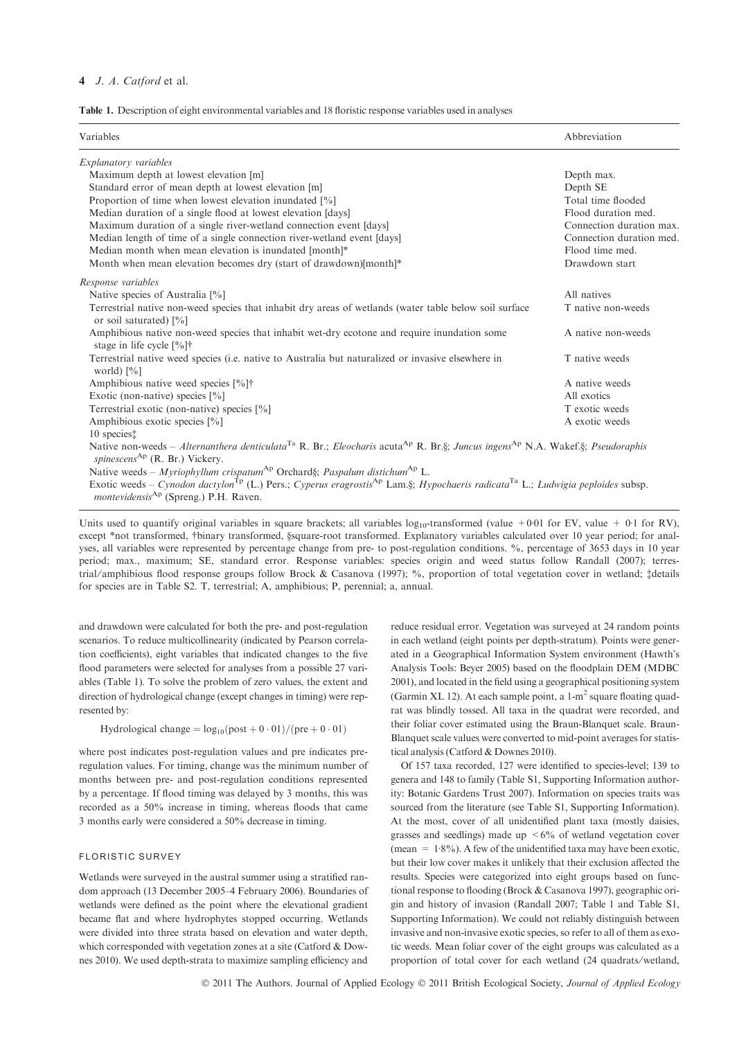## 4 J. A. Catford et al.

Table 1. Description of eight environmental variables and 18 floristic response variables used in analyses

| Variables                                                                                                                                                                                                                      | Abbreviation             |
|--------------------------------------------------------------------------------------------------------------------------------------------------------------------------------------------------------------------------------|--------------------------|
| Explanatory variables                                                                                                                                                                                                          |                          |
| Maximum depth at lowest elevation [m]                                                                                                                                                                                          | Depth max.               |
| Standard error of mean depth at lowest elevation [m]                                                                                                                                                                           | Depth SE                 |
| Proportion of time when lowest elevation inundated [%]                                                                                                                                                                         | Total time flooded       |
| Median duration of a single flood at lowest elevation [days]                                                                                                                                                                   | Flood duration med.      |
| Maximum duration of a single river-wetland connection event [days]                                                                                                                                                             | Connection duration max. |
| Median length of time of a single connection river-wetland event [days]                                                                                                                                                        | Connection duration med. |
| Median month when mean elevation is inundated [month]*                                                                                                                                                                         | Flood time med.          |
| Month when mean elevation becomes dry (start of drawdown)[month]*                                                                                                                                                              | Drawdown start           |
| Response variables                                                                                                                                                                                                             |                          |
| Native species of Australia [%]                                                                                                                                                                                                | All natives              |
| Terrestrial native non-weed species that inhabit dry areas of wetlands (water table below soil surface<br>or soil saturated) [%]                                                                                               | T native non-weeds       |
| Amphibious native non-weed species that inhabit wet-dry ecotone and require inundation some<br>stage in life cycle $[%]$ <sup>†</sup>                                                                                          | A native non-weeds       |
| Terrestrial native weed species (i.e. native to Australia but naturalized or invasive elsewhere in<br>world) $[\%]$                                                                                                            | T native weeds           |
| Amphibious native weed species [%]†                                                                                                                                                                                            | A native weeds           |
| Exotic (non-native) species $[\%]$                                                                                                                                                                                             | All exotics              |
| Terrestrial exotic (non-native) species [%]                                                                                                                                                                                    | T exotic weeds           |
| Amphibious exotic species [%]                                                                                                                                                                                                  | A exotic weeds           |
| 10 species‡                                                                                                                                                                                                                    |                          |
| Native non-weeds – Alternanthera denticulata <sup>Ta</sup> R. Br.; Eleocharis acuta <sup>Ap</sup> R. Br.§; Juncus ingens <sup>Ap</sup> N.A. Wakef.§; Pseudoraphis<br>spinescens <sup>Ap</sup> (R. Br.) Vickery.                |                          |
| Native weeds – Myriophyllum crispatum <sup>Ap</sup> Orchard§; Paspalum distichum <sup>Ap</sup> L.                                                                                                                              |                          |
| Exotic weeds – Cynodon dactylon <sup>Tp</sup> (L.) Pers.; Cyperus eragrostis <sup>Ap</sup> Lam.§; Hypochaeris radicata <sup>Ta</sup> L.; Ludwigia peploides subsp.<br><i>montevidensis</i> <sup>Ap</sup> (Spreng.) P.H. Raven. |                          |

Units used to quantify original variables in square brackets; all variables  $log_{10}$ -transformed (value +001 for EV, value +001 for RV), except \*not transformed, †binary transformed, §square-root transformed. Explanatory variables calculated over 10 year period; for analyses, all variables were represented by percentage change from pre- to post-regulation conditions. %, percentage of 3653 days in 10 year period; max., maximum; SE, standard error. Response variables: species origin and weed status follow Randall (2007); terrestrial ⁄ amphibious flood response groups follow Brock & Casanova (1997); %, proportion of total vegetation cover in wetland; ‡details for species are in Table S2. T, terrestrial; A, amphibious; P, perennial; a, annual.

and drawdown were calculated for both the pre- and post-regulation scenarios. To reduce multicollinearity (indicated by Pearson correlation coefficients), eight variables that indicated changes to the five flood parameters were selected for analyses from a possible 27 variables (Table 1). To solve the problem of zero values, the extent and direction of hydrological change (except changes in timing) were represented by:

Hydrological change  $= \log_{10}(\text{post} + 0.01)/(\text{pre} + 0.01)$ 

where post indicates post-regulation values and pre indicates preregulation values. For timing, change was the minimum number of months between pre- and post-regulation conditions represented by a percentage. If flood timing was delayed by 3 months, this was recorded as a 50% increase in timing, whereas floods that came 3 months early were considered a 50% decrease in timing.

#### FLORISTIC SURVEY

Wetlands were surveyed in the austral summer using a stratified random approach (13 December 2005–4 February 2006). Boundaries of wetlands were defined as the point where the elevational gradient became flat and where hydrophytes stopped occurring. Wetlands were divided into three strata based on elevation and water depth, which corresponded with vegetation zones at a site (Catford & Downes 2010). We used depth-strata to maximize sampling efficiency and reduce residual error. Vegetation was surveyed at 24 random points in each wetland (eight points per depth-stratum). Points were generated in a Geographical Information System environment (Hawth's Analysis Tools: Beyer 2005) based on the floodplain DEM (MDBC 2001), and located in the field using a geographical positioning system (Garmin XL 12). At each sample point, a  $1-m^2$  square floating quadrat was blindly tossed. All taxa in the quadrat were recorded, and their foliar cover estimated using the Braun-Blanquet scale. Braun-Blanquet scale values were converted to mid-point averages for statistical analysis (Catford & Downes 2010).

Of 157 taxa recorded, 127 were identified to species-level; 139 to genera and 148 to family (Table S1, Supporting Information authority: Botanic Gardens Trust 2007). Information on species traits was sourced from the literature (see Table S1, Supporting Information). At the most, cover of all unidentified plant taxa (mostly daisies, grasses and seedlings) made up  $\leq 6\%$  of wetland vegetation cover (mean =  $1.8\%$ ). A few of the unidentified taxa may have been exotic, but their low cover makes it unlikely that their exclusion affected the results. Species were categorized into eight groups based on functional response to flooding (Brock & Casanova 1997), geographic origin and history of invasion (Randall 2007; Table 1 and Table S1, Supporting Information). We could not reliably distinguish between invasive and non-invasive exotic species, so refer to all of them as exotic weeds. Mean foliar cover of the eight groups was calculated as a proportion of total cover for each wetland (24 quadrats⁄ wetland,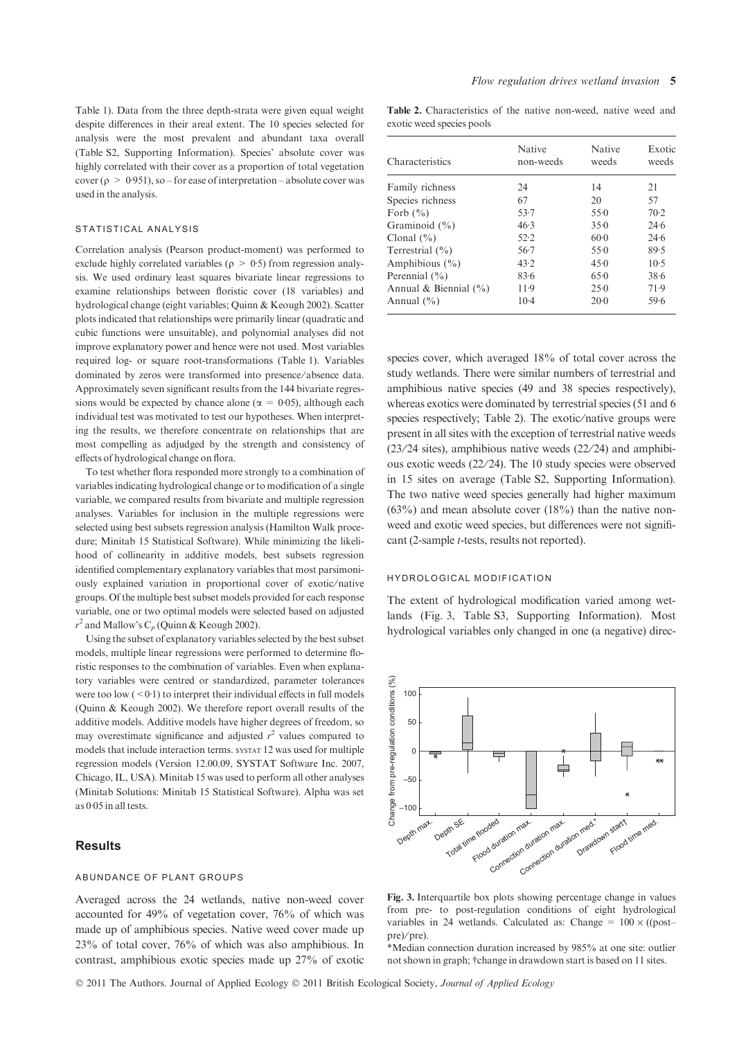Table 1). Data from the three depth-strata were given equal weight despite differences in their areal extent. The 10 species selected for analysis were the most prevalent and abundant taxa overall (Table S2, Supporting Information). Species' absolute cover was highly correlated with their cover as a proportion of total vegetation cover ( $\rho > 0.951$ ), so – for ease of interpretation – absolute cover was used in the analysis.

## STATISTICAL ANALYSIS

Correlation analysis (Pearson product-moment) was performed to exclude highly correlated variables ( $\rho > 0.5$ ) from regression analysis. We used ordinary least squares bivariate linear regressions to examine relationships between floristic cover (18 variables) and hydrological change (eight variables; Quinn & Keough 2002). Scatter plots indicated that relationships were primarily linear (quadratic and cubic functions were unsuitable), and polynomial analyses did not improve explanatory power and hence were not used. Most variables required log- or square root-transformations (Table 1). Variables dominated by zeros were transformed into presence ⁄ absence data. Approximately seven significant results from the 144 bivariate regressions would be expected by chance alone ( $\alpha = 0.05$ ), although each individual test was motivated to test our hypotheses. When interpreting the results, we therefore concentrate on relationships that are most compelling as adjudged by the strength and consistency of effects of hydrological change on flora.

To test whether flora responded more strongly to a combination of variables indicating hydrological change or to modification of a single variable, we compared results from bivariate and multiple regression analyses. Variables for inclusion in the multiple regressions were selected using best subsets regression analysis (Hamilton Walk procedure; Minitab 15 Statistical Software). While minimizing the likelihood of collinearity in additive models, best subsets regression identified complementary explanatory variables that most parsimoniously explained variation in proportional cover of exotic/native groups. Of the multiple best subset models provided for each response variable, one or two optimal models were selected based on adjusted  $r^2$  and Mallow's C<sub>p</sub> (Quinn & Keough 2002).

Using the subset of explanatory variables selected by the best subset models, multiple linear regressions were performed to determine floristic responses to the combination of variables. Even when explanatory variables were centred or standardized, parameter tolerances were too low  $(<0.1$ ) to interpret their individual effects in full models (Quinn & Keough 2002). We therefore report overall results of the additive models. Additive models have higher degrees of freedom, so may overestimate significance and adjusted  $r^2$  values compared to models that include interaction terms. systat 12 was used for multiple regression models (Version 12.00.09, SYSTAT Software Inc. 2007, Chicago, IL, USA). Minitab 15 was used to perform all other analyses (Minitab Solutions: Minitab 15 Statistical Software). Alpha was set as  $0.05$  in all tests.

#### **Results**

#### ABUNDANCE OF PLANT GROUPS

Averaged across the 24 wetlands, native non-weed cover accounted for 49% of vegetation cover, 76% of which was made up of amphibious species. Native weed cover made up 23% of total cover, 76% of which was also amphibious. In contrast, amphibious exotic species made up 27% of exotic

Table 2. Characteristics of the native non-weed, native weed and exotic weed species pools

| Characteristics           | Native<br>non-weeds | <b>Native</b><br>weeds | Exotic<br>weeds |
|---------------------------|---------------------|------------------------|-----------------|
| Family richness           | 24                  | 14                     | 21              |
| Species richness          | 67                  | 20                     | 57              |
| Forb $(\% )$              | $53 - 7$            | 550                    | $70-2$          |
| Graminoid $(\% )$         | 46.3                | 350                    | 24.6            |
| Clonal $(\% )$            | 52.2                | $60-0$                 | 24.6            |
| Terrestrial $(\% )$       | $56-7$              | 55.0                   | 89.5            |
| Amphibious $(\% )$        | 43.2                | 45.0                   | $10-5$          |
| Perennial $(\% )$         | 83.6                | 65.0                   | 38.6            |
| Annual & Biennial $(\% )$ | $11-9$              | 25.0                   | 71.9            |
| Annual $(\% )$            | $10-4$              | 20.0                   | 59.6            |

species cover, which averaged 18% of total cover across the study wetlands. There were similar numbers of terrestrial and amphibious native species (49 and 38 species respectively), whereas exotics were dominated by terrestrial species (51 and 6 species respectively; Table 2). The exotic/native groups were present in all sites with the exception of terrestrial native weeds  $(23/24 \text{ sites})$ , amphibious native weeds  $(22/24)$  and amphibious exotic weeds (22/24). The 10 study species were observed in 15 sites on average (Table S2, Supporting Information). The two native weed species generally had higher maximum  $(63\%)$  and mean absolute cover  $(18\%)$  than the native nonweed and exotic weed species, but differences were not significant (2-sample t-tests, results not reported).

#### HYDROLOGICAL MODIFICATION

The extent of hydrological modification varied among wetlands (Fig. 3, Table S3, Supporting Information). Most hydrological variables only changed in one (a negative) direc-



Fig. 3. Interquartile box plots showing percentage change in values from pre- to post-regulation conditions of eight hydrological variables in 24 wetlands. Calculated as: Change =  $100 \times ($ (post– pre)⁄ pre).

\*Median connection duration increased by 985% at one site: outlier not shown in graph; †change in drawdown start is based on 11 sites.

© 2011 The Authors. Journal of Applied Ecology © 2011 British Ecological Society, Journal of Applied Ecology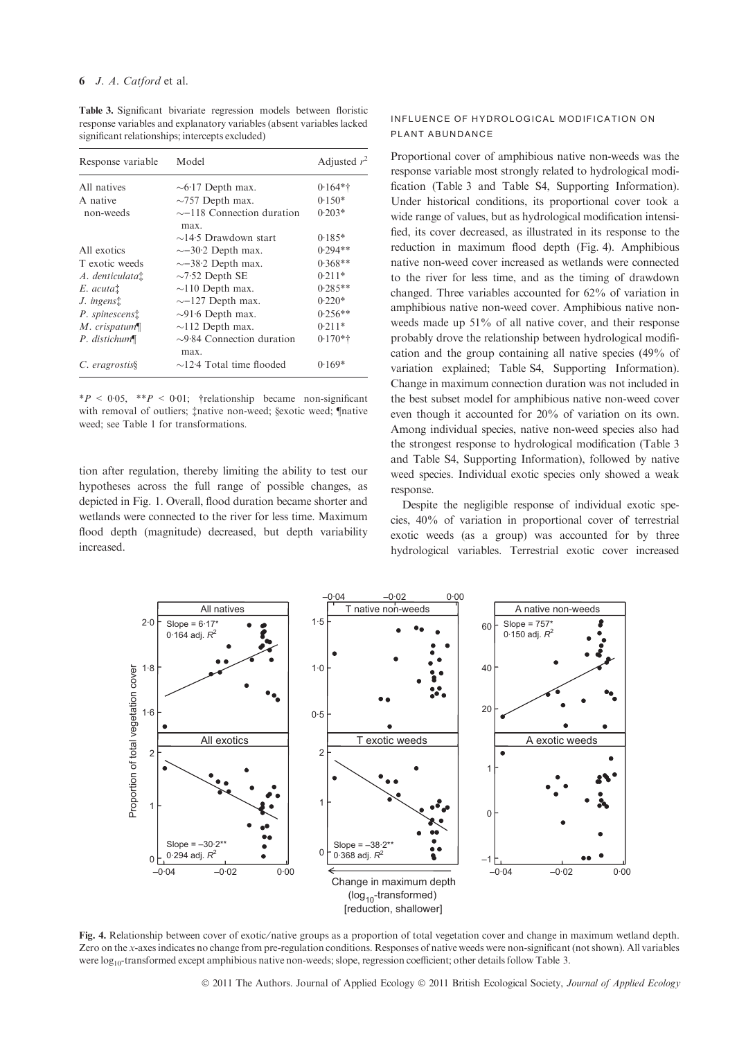Table 3. Significant bivariate regression models between floristic response variables and explanatory variables (absent variables lacked significant relationships; intercepts excluded)

| Response variable     | Model                                   | Adjusted $r^2$ |
|-----------------------|-----------------------------------------|----------------|
| All natives           | $\sim 6.17$ Depth max.                  | $0.164**$      |
| A native              | $\sim$ 757 Depth max.                   | $0.150*$       |
| non-weeds             | $\sim$ -118 Connection duration<br>max. | $0.203*$       |
|                       | $\sim$ 14.5 Drawdown start              | $0.185*$       |
| All exotics           | $\sim$ -30.2 Depth max.                 | $0.294**$      |
| T exotic weeds        | $\sim$ -38.2 Depth max.                 | $0.368**$      |
| A. denticulata†       | $\sim$ 7.52 Depth SE                    | $0.211*$       |
| E. acuta <sup>†</sup> | $\sim$ 110 Depth max.                   | $0.285**$      |
| J. ingenst            | $\sim$ -127 Depth max.                  | $0.220*$       |
| P. spinescens†        | $\sim$ 91.6 Depth max.                  | $0.256**$      |
| $M.$ crispatum $\P$   | $\sim$ 112 Depth max.                   | $0.211*$       |
| P. distichum¶         | $\sim$ 9.84 Connection duration<br>max. | $0.170**$      |
| C. eragrostis§        | $\sim$ 12.4 Total time flooded          | $0.169*$       |

 $*P < 0.05$ ,  $*P < 0.01$ ; †relationship became non-significant with removal of outliers; ‡native non-weed; §exotic weed; ¶native weed; see Table 1 for transformations.

tion after regulation, thereby limiting the ability to test our hypotheses across the full range of possible changes, as depicted in Fig. 1. Overall, flood duration became shorter and wetlands were connected to the river for less time. Maximum flood depth (magnitude) decreased, but depth variability increased.

## INFLUENCE OF HYDROLOGICAL MODIFICATION ON PLANT ABUNDANCE

Proportional cover of amphibious native non-weeds was the response variable most strongly related to hydrological modification (Table 3 and Table S4, Supporting Information). Under historical conditions, its proportional cover took a wide range of values, but as hydrological modification intensified, its cover decreased, as illustrated in its response to the reduction in maximum flood depth (Fig. 4). Amphibious native non-weed cover increased as wetlands were connected to the river for less time, and as the timing of drawdown changed. Three variables accounted for 62% of variation in amphibious native non-weed cover. Amphibious native nonweeds made up 51% of all native cover, and their response probably drove the relationship between hydrological modification and the group containing all native species (49% of variation explained; Table S4, Supporting Information). Change in maximum connection duration was not included in the best subset model for amphibious native non-weed cover even though it accounted for 20% of variation on its own. Among individual species, native non-weed species also had the strongest response to hydrological modification (Table 3 and Table S4, Supporting Information), followed by native weed species. Individual exotic species only showed a weak response.

Despite the negligible response of individual exotic species, 40% of variation in proportional cover of terrestrial exotic weeds (as a group) was accounted for by three hydrological variables. Terrestrial exotic cover increased



Fig. 4. Relationship between cover of exotic/native groups as a proportion of total vegetation cover and change in maximum wetland depth. Zero on the x-axes indicates no change from pre-regulation conditions. Responses of native weeds were non-significant (not shown). All variables were log<sub>10</sub>-transformed except amphibious native non-weeds; slope, regression coefficient; other details follow Table 3.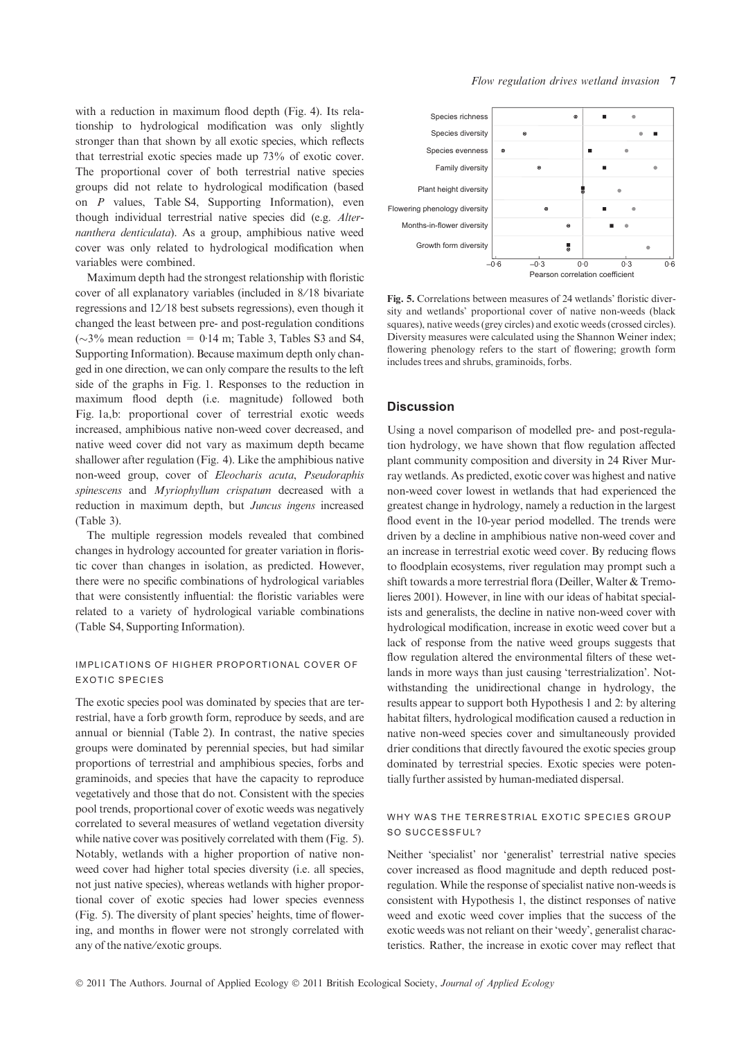with a reduction in maximum flood depth (Fig. 4). Its relationship to hydrological modification was only slightly stronger than that shown by all exotic species, which reflects that terrestrial exotic species made up 73% of exotic cover. The proportional cover of both terrestrial native species groups did not relate to hydrological modification (based on P values, Table S4, Supporting Information), even though individual terrestrial native species did (e.g. Alternanthera denticulata). As a group, amphibious native weed cover was only related to hydrological modification when variables were combined.

Maximum depth had the strongest relationship with floristic cover of all explanatory variables (included in 8/18 bivariate regressions and 12/18 best subsets regressions), even though it changed the least between pre- and post-regulation conditions ( $\sim$ 3% mean reduction = 0.14 m; Table 3, Tables S3 and S4, Supporting Information). Because maximum depth only changed in one direction, we can only compare the results to the left side of the graphs in Fig. 1. Responses to the reduction in maximum flood depth (i.e. magnitude) followed both Fig. 1a,b: proportional cover of terrestrial exotic weeds increased, amphibious native non-weed cover decreased, and native weed cover did not vary as maximum depth became shallower after regulation (Fig. 4). Like the amphibious native non-weed group, cover of Eleocharis acuta, Pseudoraphis spinescens and Myriophyllum crispatum decreased with a reduction in maximum depth, but Juncus ingens increased (Table 3).

The multiple regression models revealed that combined changes in hydrology accounted for greater variation in floristic cover than changes in isolation, as predicted. However, there were no specific combinations of hydrological variables that were consistently influential: the floristic variables were related to a variety of hydrological variable combinations (Table S4, Supporting Information).

## IMPLICATIONS OF HIGHER PROPORTIONAL COVER OF EXOTIC SPECIES

The exotic species pool was dominated by species that are terrestrial, have a forb growth form, reproduce by seeds, and are annual or biennial (Table 2). In contrast, the native species groups were dominated by perennial species, but had similar proportions of terrestrial and amphibious species, forbs and graminoids, and species that have the capacity to reproduce vegetatively and those that do not. Consistent with the species pool trends, proportional cover of exotic weeds was negatively correlated to several measures of wetland vegetation diversity while native cover was positively correlated with them (Fig. 5). Notably, wetlands with a higher proportion of native nonweed cover had higher total species diversity (i.e. all species, not just native species), whereas wetlands with higher proportional cover of exotic species had lower species evenness (Fig. 5). The diversity of plant species' heights, time of flowering, and months in flower were not strongly correlated with any of the native ⁄ exotic groups.



Fig. 5. Correlations between measures of 24 wetlands' floristic diversity and wetlands' proportional cover of native non-weeds (black squares), native weeds (grey circles) and exotic weeds (crossed circles). Diversity measures were calculated using the Shannon Weiner index; flowering phenology refers to the start of flowering; growth form includes trees and shrubs, graminoids, forbs.

## **Discussion**

Using a novel comparison of modelled pre- and post-regulation hydrology, we have shown that flow regulation affected plant community composition and diversity in 24 River Murray wetlands. As predicted, exotic cover was highest and native non-weed cover lowest in wetlands that had experienced the greatest change in hydrology, namely a reduction in the largest flood event in the 10-year period modelled. The trends were driven by a decline in amphibious native non-weed cover and an increase in terrestrial exotic weed cover. By reducing flows to floodplain ecosystems, river regulation may prompt such a shift towards a more terrestrial flora (Deiller, Walter & Tremolieres 2001). However, in line with our ideas of habitat specialists and generalists, the decline in native non-weed cover with hydrological modification, increase in exotic weed cover but a lack of response from the native weed groups suggests that flow regulation altered the environmental filters of these wetlands in more ways than just causing 'terrestrialization'. Notwithstanding the unidirectional change in hydrology, the results appear to support both Hypothesis 1 and 2: by altering habitat filters, hydrological modification caused a reduction in native non-weed species cover and simultaneously provided drier conditions that directly favoured the exotic species group dominated by terrestrial species. Exotic species were potentially further assisted by human-mediated dispersal.

## WHY WAS THE TERRESTRIAL EXOTIC SPECIES GROUP SO SUCCESSFUL?

Neither 'specialist' nor 'generalist' terrestrial native species cover increased as flood magnitude and depth reduced postregulation. While the response of specialist native non-weeds is consistent with Hypothesis 1, the distinct responses of native weed and exotic weed cover implies that the success of the exotic weeds was not reliant on their 'weedy', generalist characteristics. Rather, the increase in exotic cover may reflect that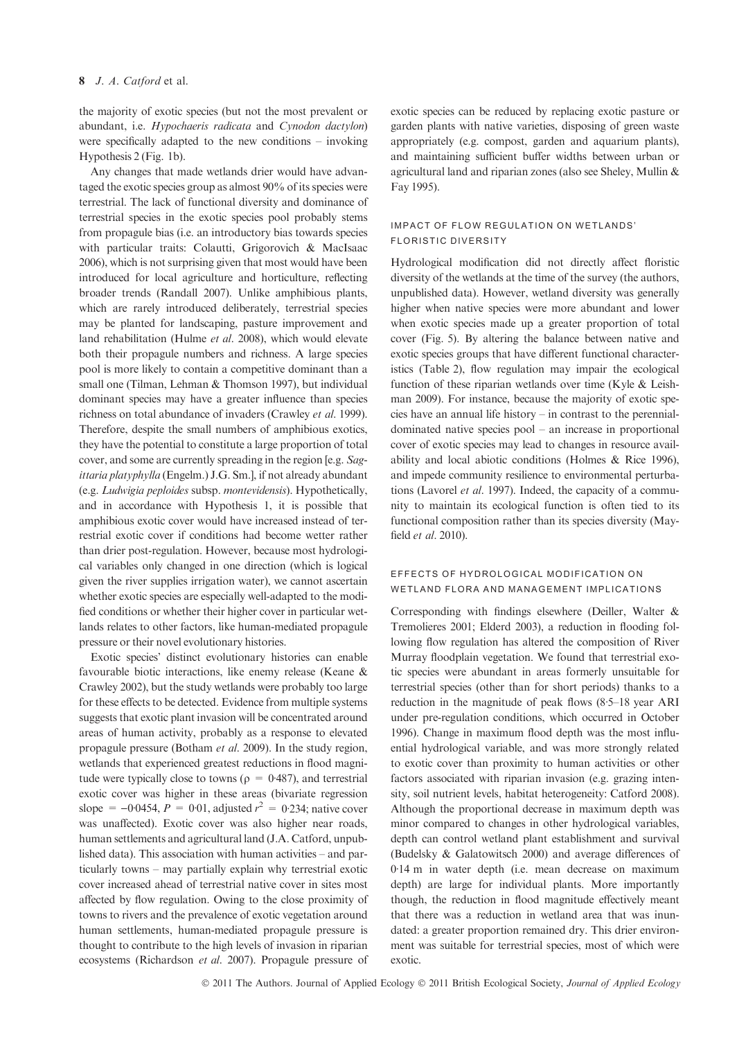## 8 J. A. Catford et al.

the majority of exotic species (but not the most prevalent or abundant, i.e. Hypochaeris radicata and Cynodon dactylon) were specifically adapted to the new conditions – invoking Hypothesis 2 (Fig. 1b).

Any changes that made wetlands drier would have advantaged the exotic species group as almost 90% of its species were terrestrial. The lack of functional diversity and dominance of terrestrial species in the exotic species pool probably stems from propagule bias (i.e. an introductory bias towards species with particular traits: Colautti, Grigorovich & MacIsaac 2006), which is not surprising given that most would have been introduced for local agriculture and horticulture, reflecting broader trends (Randall 2007). Unlike amphibious plants, which are rarely introduced deliberately, terrestrial species may be planted for landscaping, pasture improvement and land rehabilitation (Hulme et al. 2008), which would elevate both their propagule numbers and richness. A large species pool is more likely to contain a competitive dominant than a small one (Tilman, Lehman & Thomson 1997), but individual dominant species may have a greater influence than species richness on total abundance of invaders (Crawley et al. 1999). Therefore, despite the small numbers of amphibious exotics, they have the potential to constitute a large proportion of total cover, and some are currently spreading in the region [e.g. Sagittaria platyphylla (Engelm.) J.G. Sm.], if not already abundant (e.g. Ludwigia peploides subsp. montevidensis). Hypothetically, and in accordance with Hypothesis 1, it is possible that amphibious exotic cover would have increased instead of terrestrial exotic cover if conditions had become wetter rather than drier post-regulation. However, because most hydrological variables only changed in one direction (which is logical given the river supplies irrigation water), we cannot ascertain whether exotic species are especially well-adapted to the modified conditions or whether their higher cover in particular wetlands relates to other factors, like human-mediated propagule pressure or their novel evolutionary histories.

Exotic species' distinct evolutionary histories can enable favourable biotic interactions, like enemy release (Keane & Crawley 2002), but the study wetlands were probably too large for these effects to be detected. Evidence from multiple systems suggests that exotic plant invasion will be concentrated around areas of human activity, probably as a response to elevated propagule pressure (Botham et al. 2009). In the study region, wetlands that experienced greatest reductions in flood magnitude were typically close to towns ( $\rho = 0.487$ ), and terrestrial exotic cover was higher in these areas (bivariate regression slope =  $-0.0454$ ,  $P = 0.01$ , adjusted  $r^2 = 0.234$ ; native cover was unaffected). Exotic cover was also higher near roads, human settlements and agricultural land (J.A. Catford, unpublished data). This association with human activities – and particularly towns – may partially explain why terrestrial exotic cover increased ahead of terrestrial native cover in sites most affected by flow regulation. Owing to the close proximity of towns to rivers and the prevalence of exotic vegetation around human settlements, human-mediated propagule pressure is thought to contribute to the high levels of invasion in riparian ecosystems (Richardson et al. 2007). Propagule pressure of exotic species can be reduced by replacing exotic pasture or garden plants with native varieties, disposing of green waste appropriately (e.g. compost, garden and aquarium plants), and maintaining sufficient buffer widths between urban or agricultural land and riparian zones (also see Sheley, Mullin & Fay 1995).

## IMPACT OF FLOW REGULATION ON WETLANDS' FLORISTIC DIVERSITY

Hydrological modification did not directly affect floristic diversity of the wetlands at the time of the survey (the authors, unpublished data). However, wetland diversity was generally higher when native species were more abundant and lower when exotic species made up a greater proportion of total cover (Fig. 5). By altering the balance between native and exotic species groups that have different functional characteristics (Table 2), flow regulation may impair the ecological function of these riparian wetlands over time (Kyle & Leishman 2009). For instance, because the majority of exotic species have an annual life history – in contrast to the perennialdominated native species pool – an increase in proportional cover of exotic species may lead to changes in resource availability and local abiotic conditions (Holmes & Rice 1996), and impede community resilience to environmental perturbations (Lavorel et al. 1997). Indeed, the capacity of a community to maintain its ecological function is often tied to its functional composition rather than its species diversity (Mayfield et al. 2010).

## EFFECTS OF HYDROLOGICAL MODIFICATION ON WETLAND FLORA AND MANAGEMENT IMPLICATIONS

Corresponding with findings elsewhere (Deiller, Walter & Tremolieres 2001; Elderd 2003), a reduction in flooding following flow regulation has altered the composition of River Murray floodplain vegetation. We found that terrestrial exotic species were abundant in areas formerly unsuitable for terrestrial species (other than for short periods) thanks to a reduction in the magnitude of peak flows  $(8.5-18 \text{ year } ARI)$ under pre-regulation conditions, which occurred in October 1996). Change in maximum flood depth was the most influential hydrological variable, and was more strongly related to exotic cover than proximity to human activities or other factors associated with riparian invasion (e.g. grazing intensity, soil nutrient levels, habitat heterogeneity: Catford 2008). Although the proportional decrease in maximum depth was minor compared to changes in other hydrological variables, depth can control wetland plant establishment and survival (Budelsky & Galatowitsch 2000) and average differences of 0.14 m in water depth (i.e. mean decrease on maximum depth) are large for individual plants. More importantly though, the reduction in flood magnitude effectively meant that there was a reduction in wetland area that was inundated: a greater proportion remained dry. This drier environment was suitable for terrestrial species, most of which were exotic.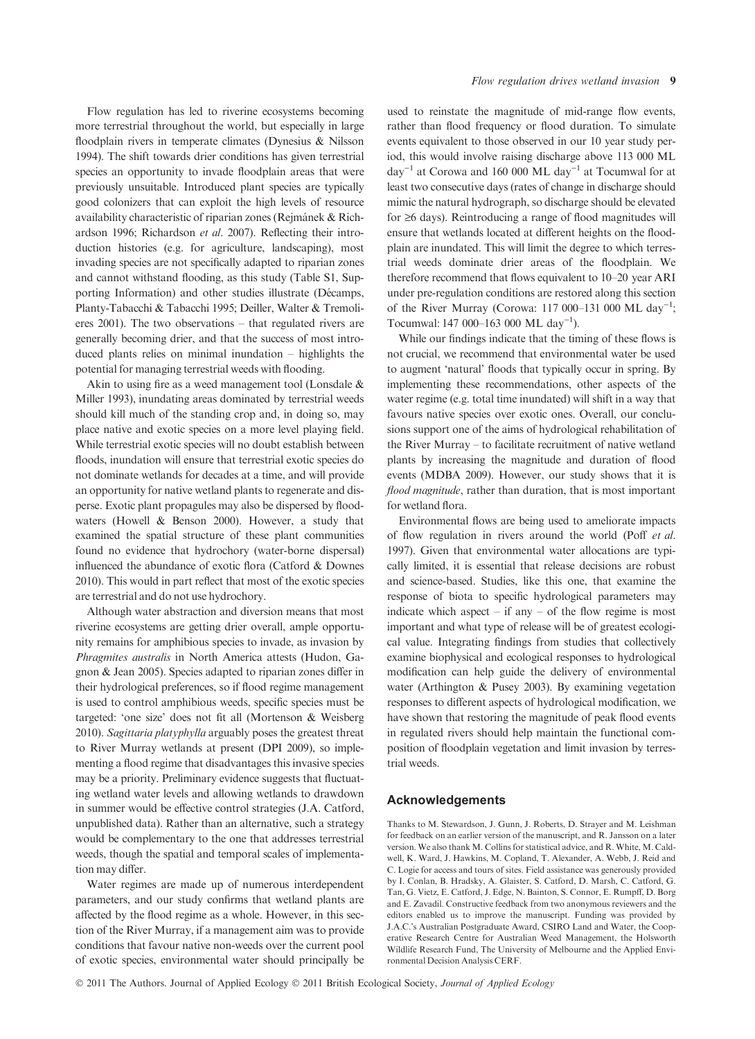Flow regulation has led to riverine ecosystems becoming more terrestrial throughout the world, but especially in large floodplain rivers in temperate climates (Dynesius & Nilsson 1994). The shift towards drier conditions has given terrestrial species an opportunity to invade floodplain areas that were previously unsuitable. Introduced plant species are typically good colonizers that can exploit the high levels of resource availability characteristic of riparian zones (Rejmánek & Richardson 1996; Richardson et al. 2007). Reflecting their introduction histories (e.g. for agriculture, landscaping), most invading species are not specifically adapted to riparian zones and cannot withstand flooding, as this study (Table S1, Supporting Information) and other studies illustrate (Décamps, Planty-Tabacchi & Tabacchi 1995; Deiller, Walter & Tremolieres 2001). The two observations – that regulated rivers are generally becoming drier, and that the success of most introduced plants relies on minimal inundation – highlights the potential for managing terrestrial weeds with flooding.

Akin to using fire as a weed management tool (Lonsdale & Miller 1993), inundating areas dominated by terrestrial weeds should kill much of the standing crop and, in doing so, may place native and exotic species on a more level playing field. While terrestrial exotic species will no doubt establish between floods, inundation will ensure that terrestrial exotic species do not dominate wetlands for decades at a time, and will provide an opportunity for native wetland plants to regenerate and disperse. Exotic plant propagules may also be dispersed by floodwaters (Howell & Benson 2000). However, a study that examined the spatial structure of these plant communities found no evidence that hydrochory (water-borne dispersal) influenced the abundance of exotic flora (Catford & Downes 2010). This would in part reflect that most of the exotic species are terrestrial and do not use hydrochory.

Although water abstraction and diversion means that most riverine ecosystems are getting drier overall, ample opportunity remains for amphibious species to invade, as invasion by Phragmites australis in North America attests (Hudon, Gagnon & Jean 2005). Species adapted to riparian zones differ in their hydrological preferences, so if flood regime management is used to control amphibious weeds, specific species must be targeted: 'one size' does not fit all (Mortenson & Weisberg 2010). Sagittaria platyphylla arguably poses the greatest threat to River Murray wetlands at present (DPI 2009), so implementing a flood regime that disadvantages this invasive species may be a priority. Preliminary evidence suggests that fluctuating wetland water levels and allowing wetlands to drawdown in summer would be effective control strategies (J.A. Catford, unpublished data). Rather than an alternative, such a strategy would be complementary to the one that addresses terrestrial weeds, though the spatial and temporal scales of implementation may differ.

Water regimes are made up of numerous interdependent parameters, and our study confirms that wetland plants are affected by the flood regime as a whole. However, in this section of the River Murray, if a management aim was to provide conditions that favour native non-weeds over the current pool of exotic species, environmental water should principally be

used to reinstate the magnitude of mid-range flow events, rather than flood frequency or flood duration. To simulate events equivalent to those observed in our 10 year study period, this would involve raising discharge above 113 000 ML day<sup>-1</sup> at Corowa and 160 000 ML day<sup>-1</sup> at Tocumwal for at least two consecutive days (rates of change in discharge should mimic the natural hydrograph, so discharge should be elevated for  $\geq 6$  days). Reintroducing a range of flood magnitudes will ensure that wetlands located at different heights on the floodplain are inundated. This will limit the degree to which terrestrial weeds dominate drier areas of the floodplain. We therefore recommend that flows equivalent to 10–20 year ARI under pre-regulation conditions are restored along this section of the River Murray (Corowa: 117 000-131 000 ML day<sup>-1</sup>; Tocumwal: 147 000-163 000 ML day<sup>-1</sup>).

While our findings indicate that the timing of these flows is not crucial, we recommend that environmental water be used to augment 'natural' floods that typically occur in spring. By implementing these recommendations, other aspects of the water regime (e.g. total time inundated) will shift in a way that favours native species over exotic ones. Overall, our conclusions support one of the aims of hydrological rehabilitation of the River Murray – to facilitate recruitment of native wetland plants by increasing the magnitude and duration of flood events (MDBA 2009). However, our study shows that it is flood magnitude, rather than duration, that is most important for wetland flora.

Environmental flows are being used to ameliorate impacts of flow regulation in rivers around the world (Poff et al. 1997). Given that environmental water allocations are typically limited, it is essential that release decisions are robust and science-based. Studies, like this one, that examine the response of biota to specific hydrological parameters may indicate which aspect  $-$  if any  $-$  of the flow regime is most important and what type of release will be of greatest ecological value. Integrating findings from studies that collectively examine biophysical and ecological responses to hydrological modification can help guide the delivery of environmental water (Arthington & Pusey 2003). By examining vegetation responses to different aspects of hydrological modification, we have shown that restoring the magnitude of peak flood events in regulated rivers should help maintain the functional composition of floodplain vegetation and limit invasion by terrestrial weeds.

## Acknowledgements

Thanks to M. Stewardson, J. Gunn, J. Roberts, D. Strayer and M. Leishman for feedback on an earlier version of the manuscript, and R. Jansson on a later version. We also thank M. Collins for statistical advice, and R. White, M. Caldwell, K. Ward, J. Hawkins, M. Copland, T. Alexander, A. Webb, J. Reid and C. Logie for access and tours of sites. Field assistance was generously provided by I. Conlan, B. Hradsky, A. Glaister, S. Catford, D. Marsh, C. Catford, G. Tan, G. Vietz, E. Catford, J. Edge, N. Bainton, S. Connor, E. Rumpff, D. Borg and E. Zavadil. Constructive feedback from two anonymous reviewers and the editors enabled us to improve the manuscript. Funding was provided by J.A.C.'s Australian Postgraduate Award, CSIRO Land and Water, the Cooperative Research Centre for Australian Weed Management, the Holsworth Wildlife Research Fund, The University of Melbourne and the Applied Environmental Decision Analysis CERF.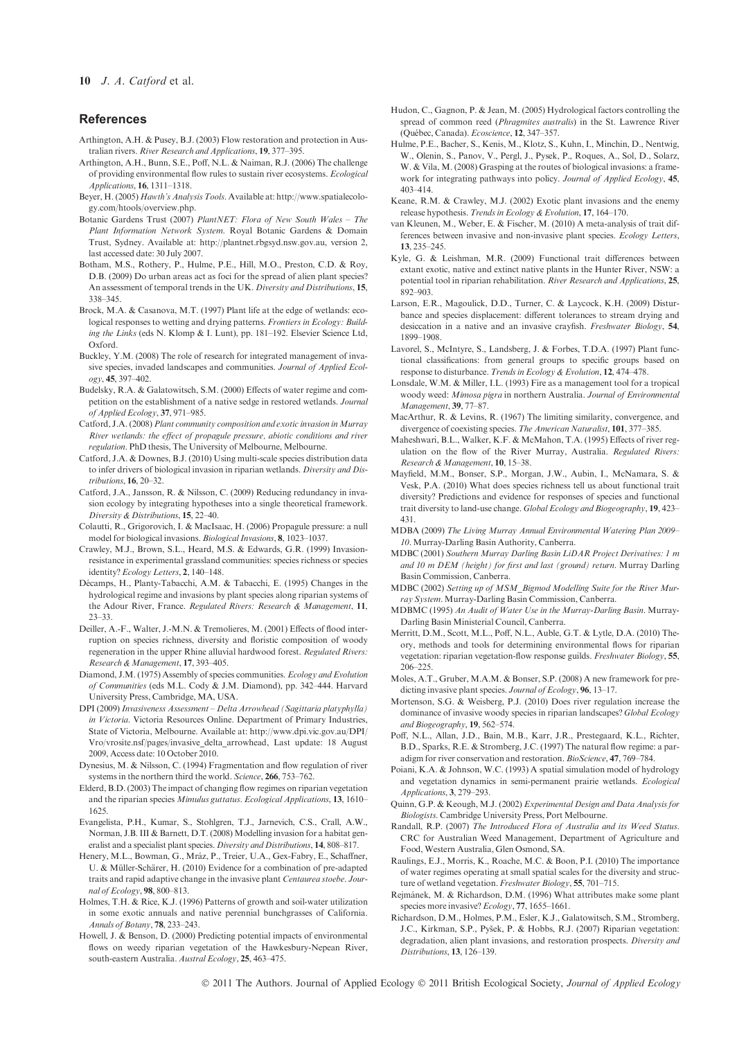#### References

- Arthington, A.H. & Pusey, B.J. (2003) Flow restoration and protection in Australian rivers. River Research and Applications, 19, 377–395.
- Arthington, A.H., Bunn, S.E., Poff, N.L. & Naiman, R.J. (2006) The challenge of providing environmental flow rules to sustain river ecosystems. Ecological Applications, 16, 1311–1318.
- Beyer, H. (2005) Hawth's Analysis Tools. Available at: http://www.spatialecology.com/htools/overview.php.
- Botanic Gardens Trust (2007) PlantNET: Flora of New South Wales The Plant Information Network System. Royal Botanic Gardens & Domain Trust, Sydney. Available at: http://plantnet.rbgsyd.nsw.gov.au, version 2, last accessed date: 30 July 2007.
- Botham, M.S., Rothery, P., Hulme, P.E., Hill, M.O., Preston, C.D. & Roy, D.B. (2009) Do urban areas act as foci for the spread of alien plant species? An assessment of temporal trends in the UK. Diversity and Distributions, 15, 338–345.
- Brock, M.A. & Casanova, M.T. (1997) Plant life at the edge of wetlands: ecological responses to wetting and drying patterns. Frontiers in Ecology: Building the Links (eds N. Klomp & I. Lunt), pp. 181–192. Elsevier Science Ltd, Oxford.
- Buckley, Y.M. (2008) The role of research for integrated management of invasive species, invaded landscapes and communities. Journal of Applied Ecology, 45, 397–402.
- Budelsky, R.A. & Galatowitsch, S.M. (2000) Effects of water regime and competition on the establishment of a native sedge in restored wetlands. Journal of Applied Ecology, 37, 971–985.
- Catford, J.A. (2008) Plant community composition and exotic invasion in Murray River wetlands: the effect of propagule pressure, abiotic conditions and river regulation. PhD thesis, The University of Melbourne, Melbourne.
- Catford, J.A. & Downes, B.J. (2010) Using multi-scale species distribution data to infer drivers of biological invasion in riparian wetlands. Diversity and Distributions, 16, 20–32.
- Catford, J.A., Jansson, R. & Nilsson, C. (2009) Reducing redundancy in invasion ecology by integrating hypotheses into a single theoretical framework. Diversity & Distributions, 15, 22–40.
- Colautti, R., Grigorovich, I. & MacIsaac, H. (2006) Propagule pressure: a null model for biological invasions. Biological Invasions, 8, 1023–1037.
- Crawley, M.J., Brown, S.L., Heard, M.S. & Edwards, G.R. (1999) Invasionresistance in experimental grassland communities: species richness or species identity? Ecology Letters, 2, 140–148.
- Décamps, H., Planty-Tabacchi, A.M. & Tabacchi, E. (1995) Changes in the hydrological regime and invasions by plant species along riparian systems of the Adour River, France. Regulated Rivers: Research & Management, 11, 23–33.
- Deiller, A.-F., Walter, J.-M.N. & Tremolieres, M. (2001) Effects of flood interruption on species richness, diversity and floristic composition of woody regeneration in the upper Rhine alluvial hardwood forest. Regulated Rivers: Research & Management, 17, 393–405.
- Diamond, J.M. (1975) Assembly of species communities. Ecology and Evolution of Communities (eds M.L. Cody & J.M. Diamond), pp. 342–444. Harvard University Press, Cambridge, MA, USA.
- DPI (2009) Invasiveness Assessment Delta Arrowhead (Sagittaria platyphylla) in Victoria. Victoria Resources Online. Department of Primary Industries, State of Victoria, Melbourne. Available at: http://www.dpi.vic.gov.au/DPI/ Vro/vrosite.nsf/pages/invasive\_delta\_arrowhead, Last update: 18 August 2009, Access date: 10 October 2010.
- Dynesius, M. & Nilsson, C. (1994) Fragmentation and flow regulation of river systems in the northern third the world. Science, 266, 753–762.
- Elderd, B.D. (2003) The impact of changing flow regimes on riparian vegetation and the riparian species Mimulus guttatus. Ecological Applications, 13, 1610– 1625.
- Evangelista, P.H., Kumar, S., Stohlgren, T.J., Jarnevich, C.S., Crall, A.W., Norman, J.B. III & Barnett, D.T. (2008) Modelling invasion for a habitat generalist and a specialist plant species. Diversity and Distributions, 14, 808–817.
- Henery, M.L., Bowman, G., Mráz, P., Treier, U.A., Gex-Fabry, E., Schaffner, U. & Müller-Schärer, H. (2010) Evidence for a combination of pre-adapted traits and rapid adaptive change in the invasive plant Centaurea stoebe. Journal of Ecology, 98, 800–813.
- Holmes, T.H. & Rice, K.J. (1996) Patterns of growth and soil-water utilization in some exotic annuals and native perennial bunchgrasses of California. Annals of Botany, 78, 233–243.
- Howell, J. & Benson, D. (2000) Predicting potential impacts of environmental flows on weedy riparian vegetation of the Hawkesbury-Nepean River, south-eastern Australia. Austral Ecology, 25, 463-475.
- Hudon, C., Gagnon, P. & Jean, M. (2005) Hydrological factors controlling the spread of common reed (Phragmites australis) in the St. Lawrence River (Que´bec, Canada). Ecoscience, 12, 347–357.
- Hulme, P.E., Bacher, S., Kenis, M., Klotz, S., Kuhn, I., Minchin, D., Nentwig, W., Olenin, S., Panov, V., Pergl, J., Pysek, P., Roques, A., Sol, D., Solarz, W. & Vila, M. (2008) Grasping at the routes of biological invasions: a framework for integrating pathways into policy. Journal of Applied Ecology, 45, 403–414.
- Keane, R.M. & Crawley, M.J. (2002) Exotic plant invasions and the enemy release hypothesis. Trends in Ecology & Evolution, 17, 164–170.
- van Kleunen, M., Weber, E. & Fischer, M. (2010) A meta-analysis of trait differences between invasive and non-invasive plant species. Ecology Letters, 13, 235–245.
- Kyle, G. & Leishman, M.R. (2009) Functional trait differences between extant exotic, native and extinct native plants in the Hunter River, NSW: a potential tool in riparian rehabilitation. River Research and Applications, 25, 892–903.
- Larson, E.R., Magoulick, D.D., Turner, C. & Laycock, K.H. (2009) Disturbance and species displacement: different tolerances to stream drying and desiccation in a native and an invasive crayfish. Freshwater Biology, 54, 1899–1908.
- Lavorel, S., McIntyre, S., Landsberg, J. & Forbes, T.D.A. (1997) Plant functional classifications: from general groups to specific groups based on response to disturbance. Trends in Ecology & Evolution, 12, 474–478.
- Lonsdale, W.M. & Miller, I.L. (1993) Fire as a management tool for a tropical woody weed: Mimosa pigra in northern Australia. Journal of Environmental Management, 39, 77–87.
- MacArthur, R. & Levins, R. (1967) The limiting similarity, convergence, and divergence of coexisting species. The American Naturalist, 101, 377–385.
- Maheshwari, B.L., Walker, K.F. & McMahon, T.A. (1995) Effects of river regulation on the flow of the River Murray, Australia. Regulated Rivers: Research & Management, 10, 15–38.
- Mayfield, M.M., Bonser, S.P., Morgan, J.W., Aubin, I., McNamara, S. & Vesk, P.A. (2010) What does species richness tell us about functional trait diversity? Predictions and evidence for responses of species and functional trait diversity to land-use change. Global Ecology and Biogeography, 19, 423– 431.
- MDBA (2009) The Living Murray Annual Environmental Watering Plan 2009– 10. Murray-Darling Basin Authority, Canberra.
- MDBC (2001) Southern Murray Darling Basin LiDAR Project Derivatives: 1 m and 10 m DEM (height) for first and last (ground) return. Murray Darling Basin Commission, Canberra.
- MDBC (2002) Setting up of MSM\_Bigmod Modelling Suite for the River Murray System. Murray-Darling Basin Commission, Canberra.
- MDBMC (1995) An Audit of Water Use in the Murray-Darling Basin. Murray-Darling Basin Ministerial Council, Canberra.
- Merritt, D.M., Scott, M.L., Poff, N.L., Auble, G.T. & Lytle, D.A. (2010) Theory, methods and tools for determining environmental flows for riparian vegetation: riparian vegetation-flow response guilds. Freshwater Biology, 55, 206–225.
- Moles, A.T., Gruber, M.A.M. & Bonser, S.P. (2008) A new framework for predicting invasive plant species. Journal of Ecology, 96, 13–17.
- Mortenson, S.G. & Weisberg, P.J. (2010) Does river regulation increase the dominance of invasive woody species in riparian landscapes? Global Ecology and Biogeography, 19, 562–574.
- Poff, N.L., Allan, J.D., Bain, M.B., Karr, J.R., Prestegaard, K.L., Richter, B.D., Sparks, R.E. & Stromberg, J.C. (1997) The natural flow regime: a paradigm for river conservation and restoration. BioScience, 47, 769–784.
- Poiani, K.A. & Johnson, W.C. (1993) A spatial simulation model of hydrology and vegetation dynamics in semi-permanent prairie wetlands. Ecological Applications, 3, 279–293.
- Quinn, G.P. & Keough, M.J. (2002) Experimental Design and Data Analysis for Biologists. Cambridge University Press, Port Melbourne.
- Randall, R.P. (2007) The Introduced Flora of Australia and its Weed Status. CRC for Australian Weed Management, Department of Agriculture and Food, Western Australia, Glen Osmond, SA.
- Raulings, E.J., Morris, K., Roache, M.C. & Boon, P.I. (2010) The importance of water regimes operating at small spatial scales for the diversity and structure of wetland vegetation. Freshwater Biology, 55, 701–715.
- Rejmánek, M. & Richardson, D.M. (1996) What attributes make some plant species more invasive? Ecology, 77, 1655-1661.
- Richardson, D.M., Holmes, P.M., Esler, K.J., Galatowitsch, S.M., Stromberg, J.C., Kirkman, S.P., Pyšek, P. & Hobbs, R.J. (2007) Riparian vegetation: degradation, alien plant invasions, and restoration prospects. Diversity and Distributions, 13, 126–139.